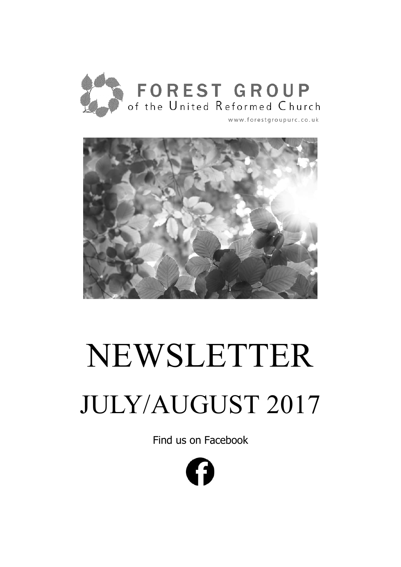



# NEWSLETTER JULY/AUGUST 2017

Find us on Facebook

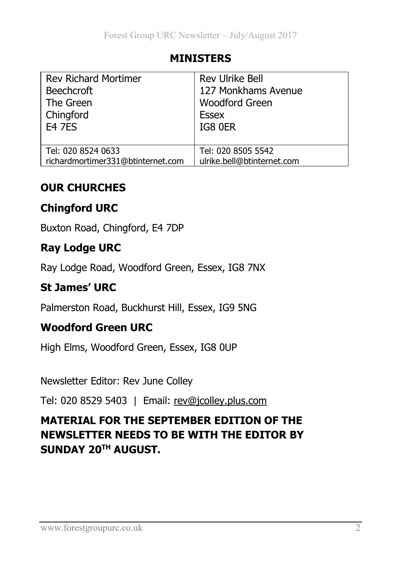#### **MINISTERS**

| <b>Rev Richard Mortimer</b>       | <b>Rev Ulrike Bell</b>     |
|-----------------------------------|----------------------------|
| <b>Beechcroft</b>                 | 127 Monkhams Avenue        |
| The Green                         | <b>Woodford Green</b>      |
| Chingford                         | <b>Essex</b>               |
| <b>E4 7ES</b>                     | IG8 0ER                    |
| Tel: 020 8524 0633                | Tel: 020 8505 5542         |
| richardmortimer331@btinternet.com | ulrike.bell@btinternet.com |

#### **OUR CHURCHES**

#### **Chingford URC**

Buxton Road, Chingford, E4 7DP

#### **Ray Lodge URC**

Ray Lodge Road, Woodford Green, Essex, IG8 7NX

#### **St James' URC**

Palmerston Road, Buckhurst Hill, Essex, IG9 5NG

#### **Woodford Green URC**

High Elms, Woodford Green, Essex, IG8 0UP

Newsletter Editor: Rev June Colley

Tel: 020 8529 5403 | Email: [rev@jcolley.plus.com](mailto:rev@jcolley.plus.com)

#### **MATERIAL FOR THE SEPTEMBER EDITION OF THE NEWSLETTER NEEDS TO BE WITH THE EDITOR BY SUNDAY 20TH AUGUST.**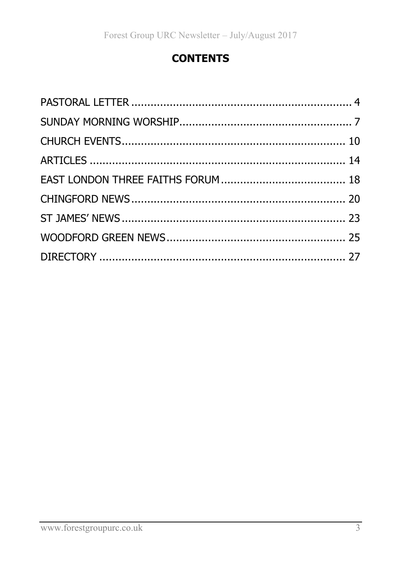#### **CONTENTS**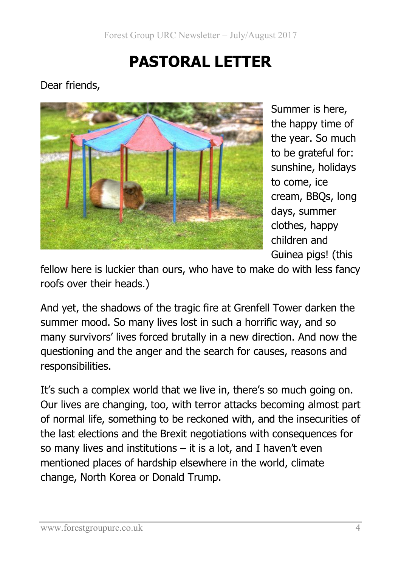## **PASTORAL LETTER**

#### <span id="page-3-0"></span>Dear friends,



Summer is here, the happy time of the year. So much to be grateful for: sunshine, holidays to come, ice cream, BBQs, long days, summer clothes, happy children and Guinea pigs! (this

fellow here is luckier than ours, who have to make do with less fancy roofs over their heads.)

And yet, the shadows of the tragic fire at Grenfell Tower darken the summer mood. So many lives lost in such a horrific way, and so many survivors' lives forced brutally in a new direction. And now the questioning and the anger and the search for causes, reasons and responsibilities.

It's such a complex world that we live in, there's so much going on. Our lives are changing, too, with terror attacks becoming almost part of normal life, something to be reckoned with, and the insecurities of the last elections and the Brexit negotiations with consequences for so many lives and institutions  $-$  it is a lot, and I haven't even mentioned places of hardship elsewhere in the world, climate change, North Korea or Donald Trump.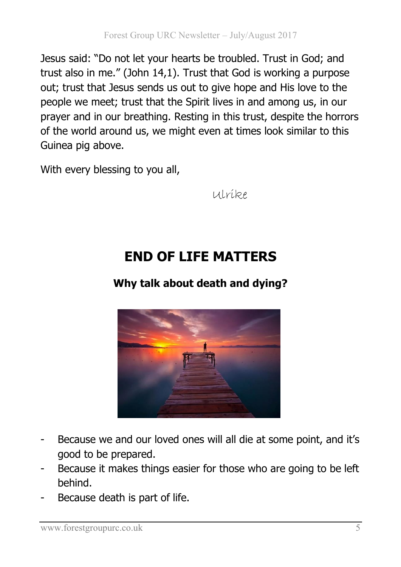Jesus said: "Do not let your hearts be troubled. Trust in God; and trust also in me." (John 14,1). Trust that God is working a purpose out; trust that Jesus sends us out to give hope and His love to the people we meet; trust that the Spirit lives in and among us, in our prayer and in our breathing. Resting in this trust, despite the horrors of the world around us, we might even at times look similar to this Guinea pig above.

With every blessing to you all,

Ulrike

## **END OF LIFE MATTERS**

#### **Why talk about death and dying?**



- Because we and our loved ones will all die at some point, and it's good to be prepared.
- Because it makes things easier for those who are going to be left behind.
- Because death is part of life.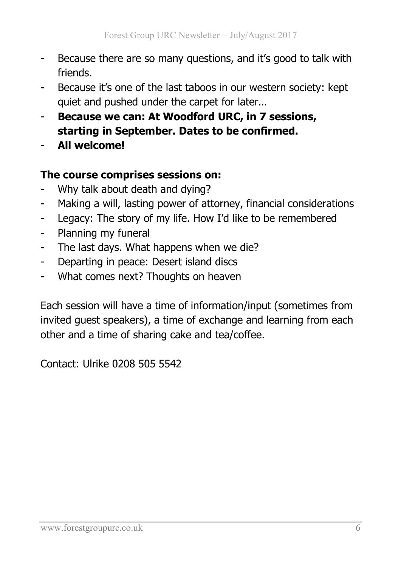- Because there are so many questions, and it's good to talk with friends.
- Because it's one of the last taboos in our western society: kept quiet and pushed under the carpet for later…
- **Because we can: At Woodford URC, in 7 sessions, starting in September. Dates to be confirmed.**
- **All welcome!**

#### **The course comprises sessions on:**

- Why talk about death and dying?
- Making a will, lasting power of attorney, financial considerations
- Legacy: The story of my life. How I'd like to be remembered
- Planning my funeral
- The last days. What happens when we die?
- Departing in peace: Desert island discs
- What comes next? Thoughts on heaven

Each session will have a time of information/input (sometimes from invited guest speakers), a time of exchange and learning from each other and a time of sharing cake and tea/coffee.

Contact: Ulrike 0208 505 5542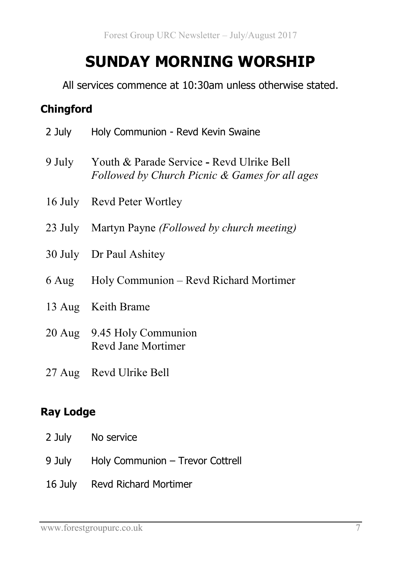## **SUNDAY MORNING WORSHIP**

<span id="page-6-0"></span>All services commence at 10:30am unless otherwise stated.

#### **Chingford**

|        | 2 July Holy Communion - Revd Kevin Swaine                                                   |
|--------|---------------------------------------------------------------------------------------------|
| 9 July | Youth & Parade Service - Revd Ulrike Bell<br>Followed by Church Picnic & Games for all ages |
|        | 16 July Revd Peter Wortley                                                                  |
|        | 23 July Martyn Payne (Followed by church meeting)                                           |
|        | 30 July Dr Paul Ashitey                                                                     |
|        | 6 Aug Holy Communion – Revd Richard Mortimer                                                |
|        | 13 Aug Keith Brame                                                                          |
|        | 20 Aug 9.45 Holy Communion<br>Revd Jane Mortimer                                            |

27 Aug Revd Ulrike Bell

#### **Ray Lodge**

- 2 July No service
- 9 July Holy Communion Trevor Cottrell
- 16 July Revd Richard Mortimer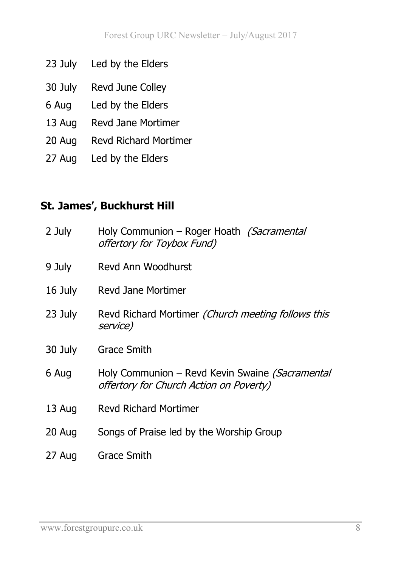- 23 July Led by the Elders
- 30 July Revd June Colley
- 6 Aug Led by the Elders
- 13 Aug Revd Jane Mortimer
- 20 Aug Revd Richard Mortimer
- 27 Aug Led by the Elders

#### **St. James', Buckhurst Hill**

| 2 July  | Holy Communion - Roger Hoath (Sacramental<br>offertory for Toybox Fund)                           |  |  |  |
|---------|---------------------------------------------------------------------------------------------------|--|--|--|
| 9 July  | Revd Ann Woodhurst                                                                                |  |  |  |
| 16 July | Revd Jane Mortimer                                                                                |  |  |  |
| 23 July | Revd Richard Mortimer (Church meeting follows this<br>service)                                    |  |  |  |
| 30 July | Grace Smith                                                                                       |  |  |  |
| 6 Aug   | Holy Communion – Revd Kevin Swaine <i>(Sacramental</i><br>offertory for Church Action on Poverty) |  |  |  |
| 13 Aug  | Revd Richard Mortimer                                                                             |  |  |  |
| 20 Aug  | Songs of Praise led by the Worship Group                                                          |  |  |  |
| 27 Aug  | Grace Smith                                                                                       |  |  |  |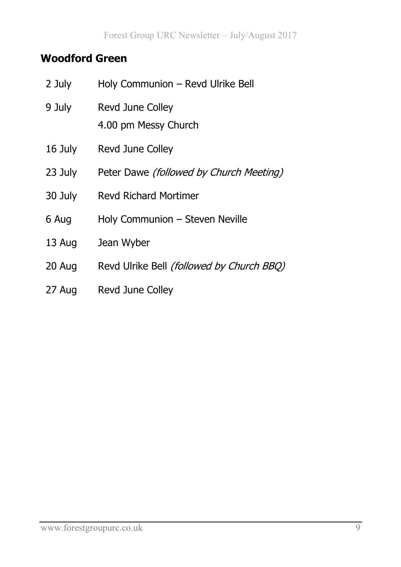#### **Woodford Green**

| 2 July  | Holy Communion - Revd Ulrike Bell         |
|---------|-------------------------------------------|
| 9 July  | Revd June Colley<br>4.00 pm Messy Church  |
| 16 July | Revd June Colley                          |
| 23 July | Peter Dawe (followed by Church Meeting)   |
| 30 July | Revd Richard Mortimer                     |
| 6 Aug   | Holy Communion - Steven Neville           |
| 13 Aug  | Jean Wyber                                |
| 20 Aug  | Revd Ulrike Bell (followed by Church BBQ) |
| 27 Aug  | Revd June Colley                          |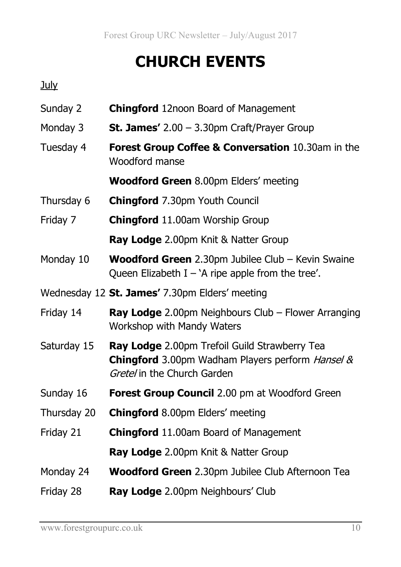## **CHURCH EVENTS**

#### <span id="page-9-0"></span>**July**

| Sunday 2    | <b>Chingford</b> 12noon Board of Management                                                                                             |
|-------------|-----------------------------------------------------------------------------------------------------------------------------------------|
| Monday 3    | <b>St. James'</b> $2.00 - 3.30$ pm Craft/Prayer Group                                                                                   |
| Tuesday 4   | <b>Forest Group Coffee &amp; Conversation 10.30am in the</b><br>Woodford manse                                                          |
|             | <b>Woodford Green 8.00pm Elders' meeting</b>                                                                                            |
| Thursday 6  | <b>Chingford</b> 7.30pm Youth Council                                                                                                   |
| Friday 7    | <b>Chingford</b> 11.00am Worship Group                                                                                                  |
|             | Ray Lodge 2.00pm Knit & Natter Group                                                                                                    |
| Monday 10   | Woodford Green 2.30pm Jubilee Club - Kevin Swaine<br>Queen Elizabeth I $-$ 'A ripe apple from the tree'.                                |
|             | Wednesday 12 St. James' 7.30pm Elders' meeting                                                                                          |
| Friday 14   | <b>Ray Lodge</b> 2.00pm Neighbours Club - Flower Arranging<br>Workshop with Mandy Waters                                                |
| Saturday 15 | Ray Lodge 2.00pm Trefoil Guild Strawberry Tea<br><b>Chingford</b> 3.00pm Wadham Players perform Hansel &<br>Gretel in the Church Garden |
| Sunday 16   | <b>Forest Group Council</b> 2.00 pm at Woodford Green                                                                                   |
| Thursday 20 | <b>Chingford</b> 8.00pm Elders' meeting                                                                                                 |
| Friday 21   | <b>Chingford</b> 11.00am Board of Management                                                                                            |
|             | <b>Ray Lodge</b> 2.00pm Knit & Natter Group                                                                                             |
| Monday 24   | <b>Woodford Green</b> 2.30pm Jubilee Club Afternoon Tea                                                                                 |
| Friday 28   | Ray Lodge 2.00pm Neighbours' Club                                                                                                       |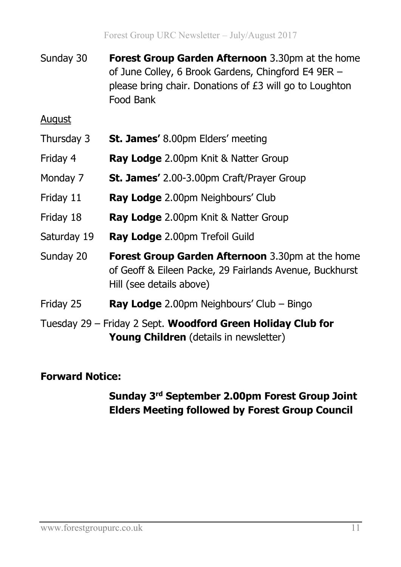Sunday 30 **Forest Group Garden Afternoon** 3.30pm at the home of June Colley, 6 Brook Gardens, Chingford E4 9ER – please bring chair. Donations of £3 will go to Loughton Food Bank

**August** 

- Thursday 3 **St. James'** 8.00pm Elders' meeting
- Friday 4 **Ray Lodge** 2.00pm Knit & Natter Group
- Monday 7 **St. James'** 2.00-3.00pm Craft/Prayer Group
- Friday 11 **Ray Lodge** 2.00pm Neighbours' Club
- Friday 18 **Ray Lodge** 2.00pm Knit & Natter Group
- Saturday 19 **Ray Lodge** 2.00pm Trefoil Guild
- Sunday 20 **Forest Group Garden Afternoon** 3.30pm at the home of Geoff & Eileen Packe, 29 Fairlands Avenue, Buckhurst Hill (see details above)
- Friday 25 **Ray Lodge** 2.00pm Neighbours' Club Bingo
- Tuesday 29 Friday 2 Sept. **Woodford Green Holiday Club for Young Children** (details in newsletter)

#### **Forward Notice:**

#### **Sunday 3rd September 2.00pm Forest Group Joint Elders Meeting followed by Forest Group Council**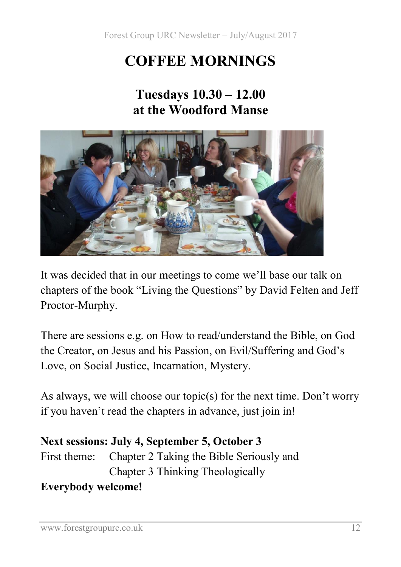## **COFFEE MORNINGS**

#### **Tuesdays 10.30 – 12.00 at the Woodford Manse**



It was decided that in our meetings to come we'll base our talk on chapters of the book "Living the Questions" by David Felten and Jeff Proctor-Murphy.

There are sessions e.g. on How to read/understand the Bible, on God the Creator, on Jesus and his Passion, on Evil/Suffering and God's Love, on Social Justice, Incarnation, Mystery.

As always, we will choose our topic(s) for the next time. Don't worry if you haven't read the chapters in advance, just join in!

**Next sessions: July 4, September 5, October 3** First theme: Chapter 2 Taking the Bible Seriously and Chapter 3 Thinking Theologically **Everybody welcome!**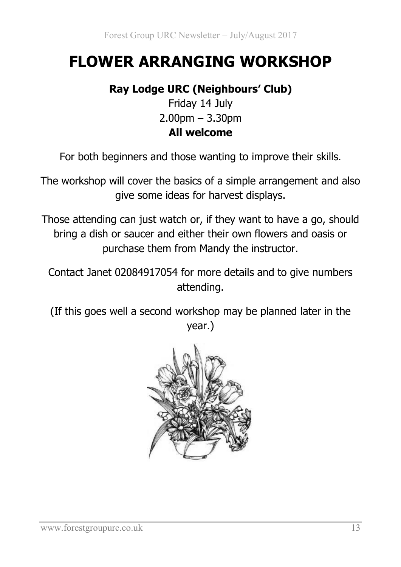## **FLOWER ARRANGING WORKSHOP**

#### **Ray Lodge URC (Neighbours' Club)**

Friday 14 July 2.00pm – 3.30pm **All welcome**

For both beginners and those wanting to improve their skills.

The workshop will cover the basics of a simple arrangement and also give some ideas for harvest displays.

Those attending can just watch or, if they want to have a go, should bring a dish or saucer and either their own flowers and oasis or purchase them from Mandy the instructor.

Contact Janet 02084917054 for more details and to give numbers attending.

(If this goes well a second workshop may be planned later in the year.)

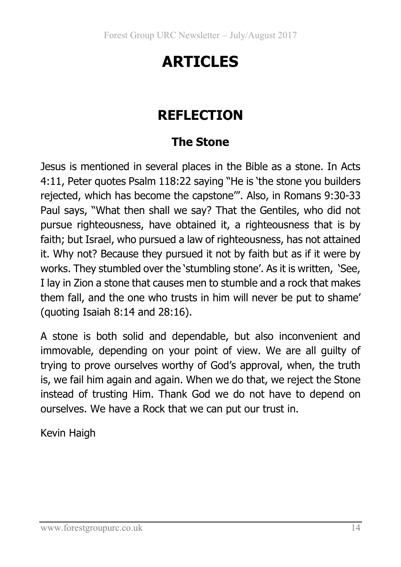## **ARTICLES**

## **REFLECTION**

#### **The Stone**

<span id="page-13-0"></span>Jesus is mentioned in several places in the Bible as a stone. In Acts 4:11, Peter quotes Psalm 118:22 saying "He is 'the stone you builders rejected, which has become the capstone'". Also, in Romans 9:30-33 Paul says, "What then shall we say? That the Gentiles, who did not pursue righteousness, have obtained it, a righteousness that is by faith; but Israel, who pursued a law of righteousness, has not attained it. Why not? Because they pursued it not by faith but as if it were by works. They stumbled over the 'stumbling stone'. As it is written, 'See, I lay in Zion a stone that causes men to stumble and a rock that makes them fall, and the one who trusts in him will never be put to shame' (quoting Isaiah 8:14 and 28:16).

A stone is both solid and dependable, but also inconvenient and immovable, depending on your point of view. We are all guilty of trying to prove ourselves worthy of God's approval, when, the truth is, we fail him again and again. When we do that, we reject the Stone instead of trusting Him. Thank God we do not have to depend on ourselves. We have a Rock that we can put our trust in.

Kevin Haigh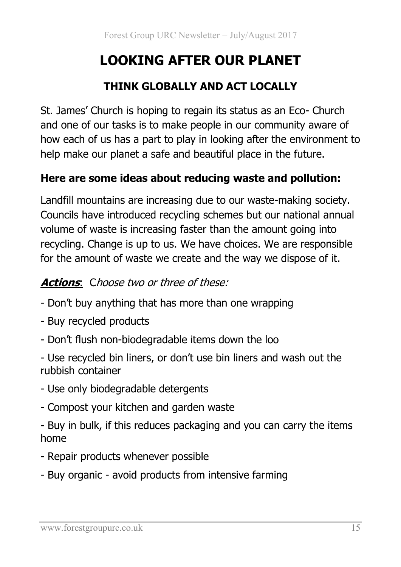## **LOOKING AFTER OUR PLANET**

#### **THINK GLOBALLY AND ACT LOCALLY**

St. James' Church is hoping to regain its status as an Eco- Church and one of our tasks is to make people in our community aware of how each of us has a part to play in looking after the environment to help make our planet a safe and beautiful place in the future.

#### **Here are some ideas about reducing waste and pollution:**

Landfill mountains are increasing due to our waste-making society. Councils have introduced recycling schemes but our national annual volume of waste is increasing faster than the amount going into recycling. Change is up to us. We have choices. We are responsible for the amount of waste we create and the way we dispose of it.

#### **Actions**: Choose two or three of these:

- Don't buy anything that has more than one wrapping
- Buy recycled products
- Don't flush non-biodegradable items down the loo
- Use recycled bin liners, or don't use bin liners and wash out the rubbish container
- Use only biodegradable detergents
- Compost your kitchen and garden waste
- Buy in bulk, if this reduces packaging and you can carry the items home
- Repair products whenever possible
- Buy organic avoid products from intensive farming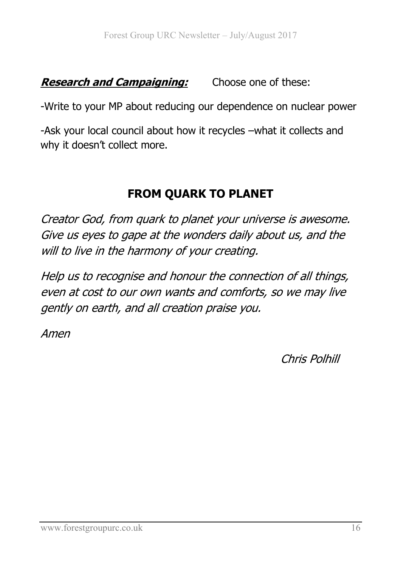#### **Research and Campaigning:** Choose one of these:

-Write to your MP about reducing our dependence on nuclear power

-Ask your local council about how it recycles –what it collects and why it doesn't collect more.

#### **FROM QUARK TO PLANET**

Creator God, from quark to planet your universe is awesome. Give us eyes to gape at the wonders daily about us, and the will to live in the harmony of your creating.

Help us to recognise and honour the connection of all things, even at cost to our own wants and comforts, so we may live gently on earth, and all creation praise you.

Amen

Chris Polhill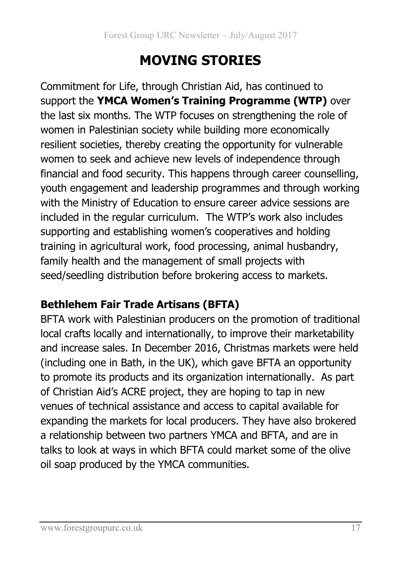## **MOVING STORIES**

Commitment for Life, through Christian Aid, has continued to support the **YMCA Women's Training Programme (WTP)** over the last six months. The WTP focuses on strengthening the role of women in Palestinian society while building more economically resilient societies, thereby creating the opportunity for vulnerable women to seek and achieve new levels of independence through financial and food security. This happens through career counselling, youth engagement and leadership programmes and through working with the Ministry of Education to ensure career advice sessions are included in the regular curriculum. The WTP's work also includes supporting and establishing women's cooperatives and holding training in agricultural work, food processing, animal husbandry, family health and the management of small projects with seed/seedling distribution before brokering access to markets.

#### **Bethlehem Fair Trade Artisans (BFTA)**

BFTA work with Palestinian producers on the promotion of traditional local crafts locally and internationally, to improve their marketability and increase sales. In December 2016, Christmas markets were held (including one in Bath, in the UK), which gave BFTA an opportunity to promote its products and its organization internationally. As part of Christian Aid's ACRE project, they are hoping to tap in new venues of technical assistance and access to capital available for expanding the markets for local producers. They have also brokered a relationship between two partners YMCA and BFTA, and are in talks to look at ways in which BFTA could market some of the olive oil soap produced by the YMCA communities.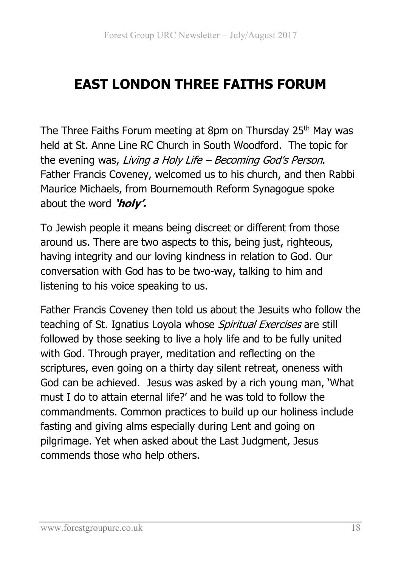## <span id="page-17-0"></span>**EAST LONDON THREE FAITHS FORUM**

The Three Faiths Forum meeting at 8pm on Thursday 25<sup>th</sup> May was held at St. Anne Line RC Church in South Woodford. The topic for the evening was, Living a Holy Life – Becoming God's Person. Father Francis Coveney, welcomed us to his church, and then Rabbi Maurice Michaels, from Bournemouth Reform Synagogue spoke about the word **'holy'.**

To Jewish people it means being discreet or different from those around us. There are two aspects to this, being just, righteous, having integrity and our loving kindness in relation to God. Our conversation with God has to be two-way, talking to him and listening to his voice speaking to us.

Father Francis Coveney then told us about the Jesuits who follow the teaching of St. Ignatius Loyola whose Spiritual Exercises are still followed by those seeking to live a holy life and to be fully united with God. Through prayer, meditation and reflecting on the scriptures, even going on a thirty day silent retreat, oneness with God can be achieved. Jesus was asked by a rich young man, 'What must I do to attain eternal life?' and he was told to follow the commandments. Common practices to build up our holiness include fasting and giving alms especially during Lent and going on pilgrimage. Yet when asked about the Last Judgment, Jesus commends those who help others.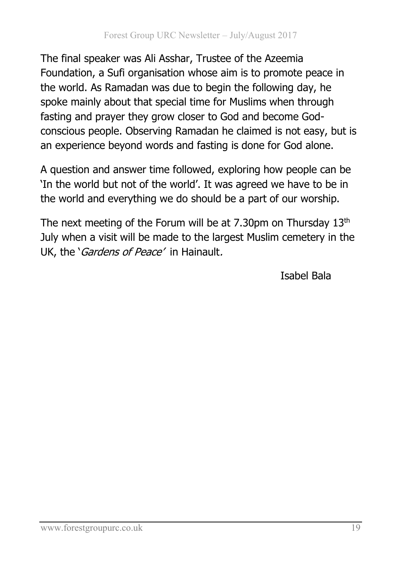The final speaker was Ali Asshar, Trustee of the Azeemia Foundation, a Sufi organisation whose aim is to promote peace in the world. As Ramadan was due to begin the following day, he spoke mainly about that special time for Muslims when through fasting and prayer they grow closer to God and become Godconscious people. Observing Ramadan he claimed is not easy, but is an experience beyond words and fasting is done for God alone.

A question and answer time followed, exploring how people can be 'In the world but not of the world'. It was agreed we have to be in the world and everything we do should be a part of our worship.

<span id="page-18-0"></span>The next meeting of the Forum will be at 7.30pm on Thursday  $13<sup>th</sup>$ July when a visit will be made to the largest Muslim cemetery in the UK, the '*Gardens of Peace'* in Hainault.

Isabel Bala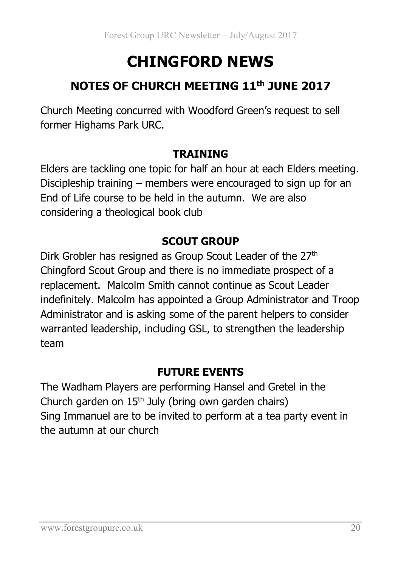## **CHINGFORD NEWS**

#### **NOTES OF CHURCH MEETING 11th JUNE 2017**

Church Meeting concurred with Woodford Green's request to sell former Highams Park URC.

#### **TRAINING**

Elders are tackling one topic for half an hour at each Elders meeting. Discipleship training – members were encouraged to sign up for an End of Life course to be held in the autumn. We are also considering a theological book club

#### **SCOUT GROUP**

Dirk Grobler has resigned as Group Scout Leader of the 27<sup>th</sup> Chingford Scout Group and there is no immediate prospect of a replacement. Malcolm Smith cannot continue as Scout Leader indefinitely. Malcolm has appointed a Group Administrator and Troop Administrator and is asking some of the parent helpers to consider warranted leadership, including GSL, to strengthen the leadership team

#### **FUTURE EVENTS**

The Wadham Players are performing Hansel and Gretel in the Church garden on  $15<sup>th</sup>$  July (bring own garden chairs) Sing Immanuel are to be invited to perform at a tea party event in the autumn at our church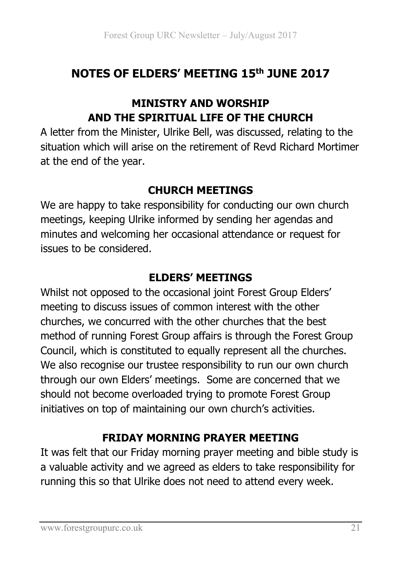#### **NOTES OF ELDERS' MEETING 15th JUNE 2017**

#### **MINISTRY AND WORSHIP AND THE SPIRITUAL LIFE OF THE CHURCH**

A letter from the Minister, Ulrike Bell, was discussed, relating to the situation which will arise on the retirement of Revd Richard Mortimer at the end of the year.

#### **CHURCH MEETINGS**

We are happy to take responsibility for conducting our own church meetings, keeping Ulrike informed by sending her agendas and minutes and welcoming her occasional attendance or request for issues to be considered.

#### **ELDERS' MEETINGS**

Whilst not opposed to the occasional joint Forest Group Elders' meeting to discuss issues of common interest with the other churches, we concurred with the other churches that the best method of running Forest Group affairs is through the Forest Group Council, which is constituted to equally represent all the churches. We also recognise our trustee responsibility to run our own church through our own Elders' meetings. Some are concerned that we should not become overloaded trying to promote Forest Group initiatives on top of maintaining our own church's activities.

#### **FRIDAY MORNING PRAYER MEETING**

It was felt that our Friday morning prayer meeting and bible study is a valuable activity and we agreed as elders to take responsibility for running this so that Ulrike does not need to attend every week.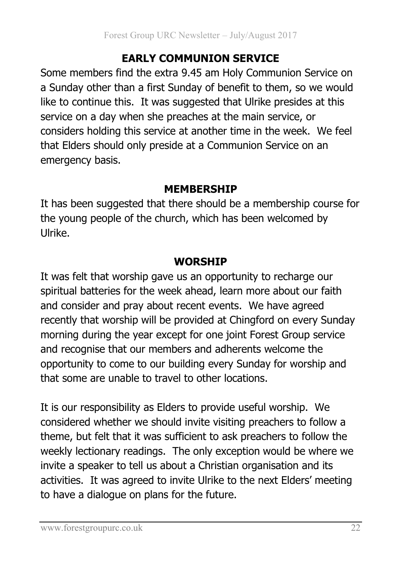#### **EARLY COMMUNION SERVICE**

Some members find the extra 9.45 am Holy Communion Service on a Sunday other than a first Sunday of benefit to them, so we would like to continue this. It was suggested that Ulrike presides at this service on a day when she preaches at the main service, or considers holding this service at another time in the week. We feel that Elders should only preside at a Communion Service on an emergency basis.

#### **MEMBERSHIP**

It has been suggested that there should be a membership course for the young people of the church, which has been welcomed by Ulrike.

#### **WORSHIP**

It was felt that worship gave us an opportunity to recharge our spiritual batteries for the week ahead, learn more about our faith and consider and pray about recent events. We have agreed recently that worship will be provided at Chingford on every Sunday morning during the year except for one joint Forest Group service and recognise that our members and adherents welcome the opportunity to come to our building every Sunday for worship and that some are unable to travel to other locations.

It is our responsibility as Elders to provide useful worship. We considered whether we should invite visiting preachers to follow a theme, but felt that it was sufficient to ask preachers to follow the weekly lectionary readings. The only exception would be where we invite a speaker to tell us about a Christian organisation and its activities. It was agreed to invite Ulrike to the next Elders' meeting to have a dialogue on plans for the future.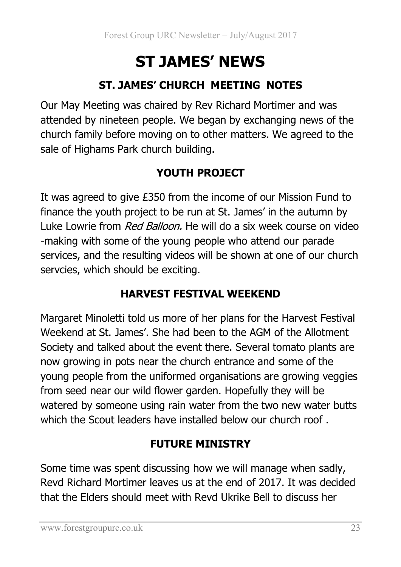## **ST JAMES' NEWS**

#### **ST. JAMES' CHURCH MEETING NOTES**

<span id="page-22-0"></span>Our May Meeting was chaired by Rev Richard Mortimer and was attended by nineteen people. We began by exchanging news of the church family before moving on to other matters. We agreed to the sale of Highams Park church building.

#### **YOUTH PROJECT**

It was agreed to give £350 from the income of our Mission Fund to finance the youth project to be run at St. James' in the autumn by Luke Lowrie from Red Balloon. He will do a six week course on video -making with some of the young people who attend our parade services, and the resulting videos will be shown at one of our church servcies, which should be exciting.

#### **HARVEST FESTIVAL WEEKEND**

Margaret Minoletti told us more of her plans for the Harvest Festival Weekend at St. James'. She had been to the AGM of the Allotment Society and talked about the event there. Several tomato plants are now growing in pots near the church entrance and some of the young people from the uniformed organisations are growing veggies from seed near our wild flower garden. Hopefully they will be watered by someone using rain water from the two new water butts which the Scout leaders have installed below our church roof.

#### **FUTURE MINISTRY**

Some time was spent discussing how we will manage when sadly, Revd Richard Mortimer leaves us at the end of 2017. It was decided that the Elders should meet with Revd Ukrike Bell to discuss her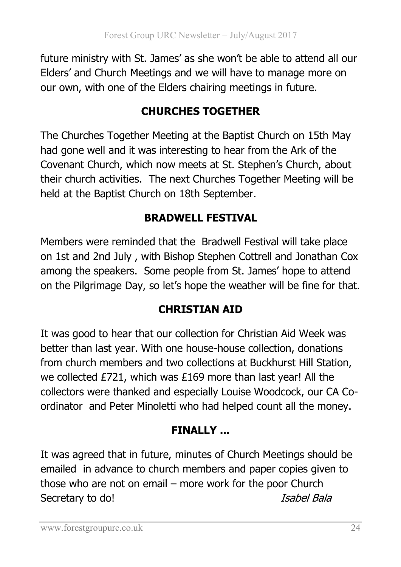future ministry with St. James' as she won't be able to attend all our Elders' and Church Meetings and we will have to manage more on our own, with one of the Elders chairing meetings in future.

#### **CHURCHES TOGETHER**

The Churches Together Meeting at the Baptist Church on 15th May had gone well and it was interesting to hear from the Ark of the Covenant Church, which now meets at St. Stephen's Church, about their church activities. The next Churches Together Meeting will be held at the Baptist Church on 18th September.

#### **BRADWELL FESTIVAL**

Members were reminded that the Bradwell Festival will take place on 1st and 2nd July , with Bishop Stephen Cottrell and Jonathan Cox among the speakers. Some people from St. James' hope to attend on the Pilgrimage Day, so let's hope the weather will be fine for that.

#### **CHRISTIAN AID**

It was good to hear that our collection for Christian Aid Week was better than last year. With one house-house collection, donations from church members and two collections at Buckhurst Hill Station, we collected £721, which was £169 more than last year! All the collectors were thanked and especially Louise Woodcock, our CA Coordinator and Peter Minoletti who had helped count all the money.

#### **FINALLY ...**

It was agreed that in future, minutes of Church Meetings should be emailed in advance to church members and paper copies given to those who are not on email – more work for the poor Church Secretary to do! Isabel Bala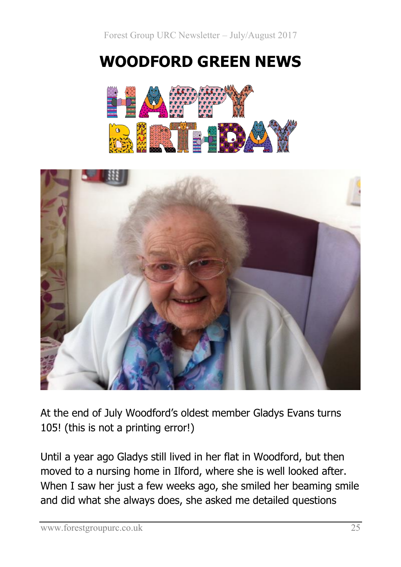## <span id="page-24-0"></span>**WOODFORD GREEN NEWS**





At the end of July Woodford's oldest member Gladys Evans turns 105! (this is not a printing error!)

Until a year ago Gladys still lived in her flat in Woodford, but then moved to a nursing home in Ilford, where she is well looked after. When I saw her just a few weeks ago, she smiled her beaming smile and did what she always does, she asked me detailed questions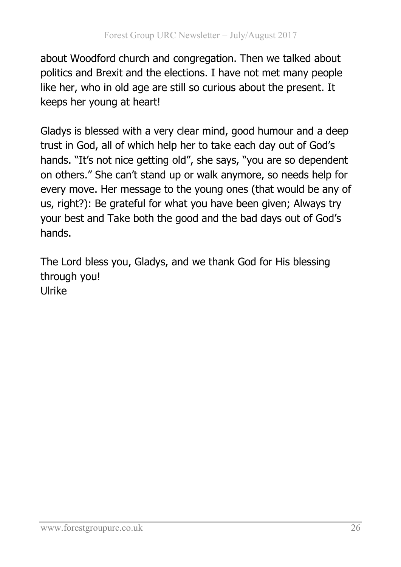about Woodford church and congregation. Then we talked about politics and Brexit and the elections. I have not met many people like her, who in old age are still so curious about the present. It keeps her young at heart!

Gladys is blessed with a very clear mind, good humour and a deep trust in God, all of which help her to take each day out of God's hands. "It's not nice getting old", she says, "you are so dependent on others." She can't stand up or walk anymore, so needs help for every move. Her message to the young ones (that would be any of us, right?): Be grateful for what you have been given; Always try your best and Take both the good and the bad days out of God's hands.

The Lord bless you, Gladys, and we thank God for His blessing through you! Ulrike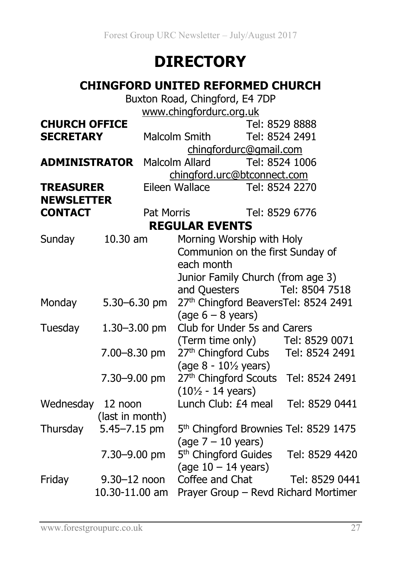## **DIRECTORY**

#### **CHINGFORD UNITED REFORMED CHURCH**

<span id="page-26-0"></span>

|                      |                  | Buxton Road, Chingford, E4 7DP       |                              |                                                   |
|----------------------|------------------|--------------------------------------|------------------------------|---------------------------------------------------|
|                      |                  | www.chingfordurc.org.uk              |                              |                                                   |
| <b>CHURCH OFFICE</b> |                  |                                      |                              | Tel: 8529 8888                                    |
| <b>SECRETARY</b>     |                  | Malcolm Smith                        |                              | Tel: 8524 2491                                    |
|                      |                  |                                      | chingfordurc@gmail.com       |                                                   |
| <b>ADMINISTRATOR</b> |                  | Malcolm Allard                       |                              | Tel: 8524 1006                                    |
|                      |                  | chingford.urc@btconnect.com          |                              |                                                   |
| <b>TREASURER</b>     |                  | Eileen Wallace                       |                              | Tel: 8524 2270                                    |
| <b>NEWSLETTER</b>    |                  |                                      |                              |                                                   |
| <b>CONTACT</b>       |                  | Pat Morris                           |                              | Tel: 8529 6776                                    |
|                      |                  | <b>REGULAR EVENTS</b>                |                              |                                                   |
| Sunday               | 10.30 am         |                                      | Morning Worship with Holy    |                                                   |
|                      |                  |                                      |                              | Communion on the first Sunday of                  |
|                      |                  | each month                           |                              |                                                   |
|                      |                  |                                      |                              | Junior Family Church (from age 3)                 |
|                      |                  |                                      |                              | and Questers Tel: 8504 7518                       |
| Monday               | 5.30-6.30 pm     |                                      |                              | 27th Chingford BeaversTel: 8524 2491              |
|                      |                  | (age $6 - 8$ years)                  |                              |                                                   |
| Tuesday              | $1.30 - 3.00$ pm |                                      | Club for Under 5s and Carers |                                                   |
|                      |                  |                                      |                              | (Term time only) Tel: 8529 0071                   |
|                      | 7.00-8.30 pm     |                                      |                              | 27th Chingford Cubs Tel: 8524 2491                |
|                      |                  | (age $8 - 10\frac{1}{2}$ years)      |                              |                                                   |
|                      | 7.30-9.00 pm     |                                      |                              | 27th Chingford Scouts Tel: 8524 2491              |
|                      |                  | $(10\frac{1}{2} - 14 \text{ years})$ |                              |                                                   |
| Wednesday 12 noon    |                  |                                      | Lunch Club: £4 meal          | Tel: 8529 0441                                    |
|                      | (last in month)  |                                      |                              |                                                   |
| Thursday             | 5.45-7.15 pm     |                                      |                              | 5 <sup>th</sup> Chingford Brownies Tel: 8529 1475 |
|                      |                  | (age $7 - 10$ years)                 |                              |                                                   |
|                      | 7.30-9.00 pm     |                                      |                              | 5th Chingford Guides Tel: 8529 4420               |
|                      |                  | $(\text{age }10 - 14 \text{ years})$ |                              |                                                   |
| Friday               | $9.30 - 12$ noon | Coffee and Chat                      |                              | Tel: 8529 0441                                    |
|                      | 10.30-11.00 am   |                                      |                              | Prayer Group - Revd Richard Mortimer              |
|                      |                  |                                      |                              |                                                   |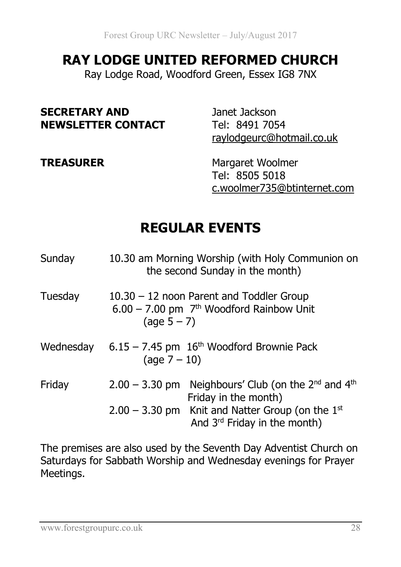#### **RAY LODGE UNITED REFORMED CHURCH**

Ray Lodge Road, Woodford Green, Essex IG8 7NX

#### **SECRETARY AND** Janet Jackson **NEWSLETTER CONTACT** Tel: 8491 7054

[raylodgeurc@hotmail.co.uk](mailto:raylodgeurc@hotmail.co.uk)

**TREASURER** Margaret Woolmer Tel: 8505 5018 [c.woolmer735@btinternet.com](mailto:c.woolmer735@btinternet.com)

### **REGULAR EVENTS**

| Sunday    | 10.30 am Morning Worship (with Holy Communion on<br>the second Sunday in the month)                       |  |
|-----------|-----------------------------------------------------------------------------------------------------------|--|
| Tuesday   | 10.30 - 12 noon Parent and Toddler Group<br>$6.00 - 7.00$ pm $7th$ Woodford Rainbow Unit<br>$(aqe 5 - 7)$ |  |
| Wednesday | $6.15 - 7.45$ pm $16th$ Woodford Brownie Pack<br>$(aqe 7 - 10)$                                           |  |
| Friday    | $2.00 - 3.30$ pm Neighbours' Club (on the 2 <sup>nd</sup> and 4 <sup>th</sup><br>Friday in the month)     |  |
|           | $2.00 - 3.30$ pm Knit and Natter Group (on the 1st<br>And 3rd Friday in the month)                        |  |

The premises are also used by the Seventh Day Adventist Church on Saturdays for Sabbath Worship and Wednesday evenings for Prayer Meetings.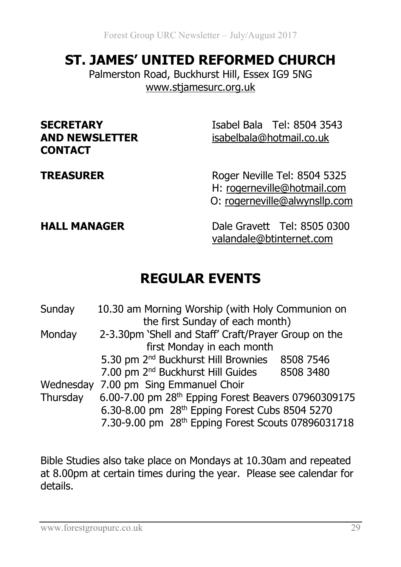#### **ST. JAMES' UNITED REFORMED CHURCH**

Palmerston Road, Buckhurst Hill, Essex IG9 5NG [www.stjamesurc.org.uk](http://www.stjamesurc.org.uk/)

## **CONTACT**

**SECRETARY** Isabel Bala Tel: 8504 3543 **AND NEWSLETTER** [isabelbala@hotmail.co.uk](mailto:isabelbala@hotmail.co.uk)

**TREASURER** Roger Neville Tel: 8504 5325 H: [rogerneville@hotmail.com](mailto:rogerneville@hotmail.com) O: [rogerneville@alwynsllp.com](mailto:rogerneville@alwynsllp.com)

**HALL MANAGER** Dale Gravett Tel: 8505 0300 [valandale@btinternet.com](mailto:valandale@btinternet.com)

## **REGULAR EVENTS**

Sunday 10.30 am Morning Worship (with Holy Communion on the first Sunday of each month) Monday 2-3.30pm 'Shell and Staff' Craft/Prayer Group on the first Monday in each month 5.30 pm 2<sup>nd</sup> Buckhurst Hill Brownies 8508 7546 7.00 pm 2nd Buckhurst Hill Guides 8508 3480 Wednesday 7.00 pm Sing Emmanuel Choir Thursday  $6.00 - 7.00$  pm  $28<sup>th</sup>$  Epping Forest Beavers 07960309175 6.30-8.00 pm 28th Epping Forest Cubs 8504 5270 7.30-9.00 pm 28th Epping Forest Scouts 07896031718

Bible Studies also take place on Mondays at 10.30am and repeated at 8.00pm at certain times during the year. Please see calendar for details.